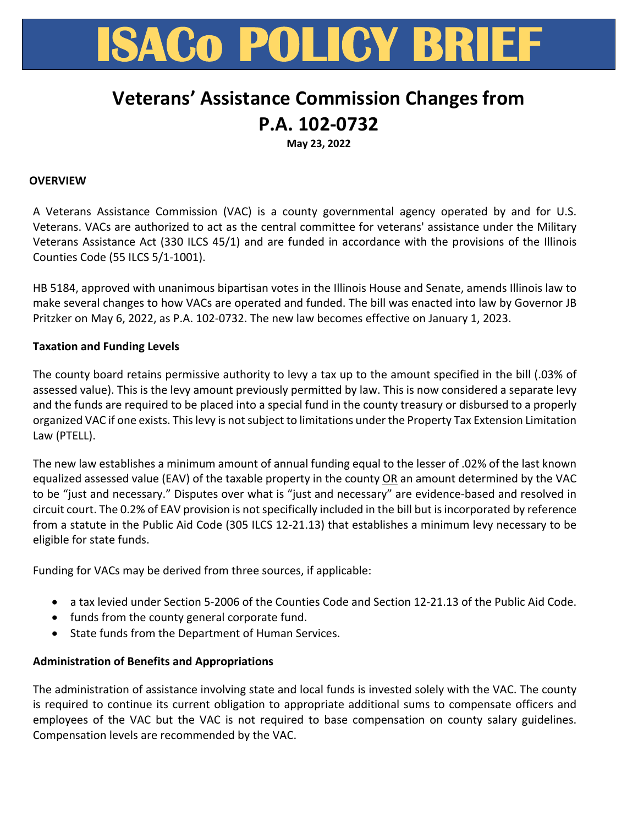

# **Veterans' Assistance Commission Changes from P.A. 102-0732**

**May 23, 2022**

#### **OVERVIEW**

A Veterans Assistance Commission (VAC) is a county governmental agency operated by and for U.S. Veterans. VACs are authorized to act as the central committee for veterans' assistance under the Military Veterans Assistance Act (330 ILCS 45/1) and are funded in accordance with the provisions of the Illinois Counties Code (55 ILCS 5/1-1001).

HB 5184, approved with unanimous bipartisan votes in the Illinois House and Senate, amends Illinois law to make several changes to how VACs are operated and funded. The bill was enacted into law by Governor JB Pritzker on May 6, 2022, as P.A. 102-0732. The new law becomes effective on January 1, 2023.

#### **Taxation and Funding Levels**

The county board retains permissive authority to levy a tax up to the amount specified in the bill (.03% of assessed value). This is the levy amount previously permitted by law. This is now considered a separate levy and the funds are required to be placed into a special fund in the county treasury or disbursed to a properly organized VAC if one exists. This levy is not subject to limitations under the Property Tax Extension Limitation Law (PTELL).

The new law establishes a minimum amount of annual funding equal to the lesser of .02% of the last known equalized assessed value (EAV) of the taxable property in the county OR an amount determined by the VAC to be "just and necessary." Disputes over what is "just and necessary" are evidence-based and resolved in circuit court. The 0.2% of EAV provision is not specifically included in the bill but is incorporated by reference from a statute in the Public Aid Code (305 ILCS 12-21.13) that establishes a minimum levy necessary to be eligible for state funds.

Funding for VACs may be derived from three sources, if applicable:

- a tax levied under Section 5-2006 of the Counties Code and Section 12-21.13 of the Public Aid Code.
- funds from the county general corporate fund.
- State funds from the Department of Human Services.

### **Administration of Benefits and Appropriations**

The administration of assistance involving state and local funds is invested solely with the VAC. The county is required to continue its current obligation to appropriate additional sums to compensate officers and employees of the VAC but the VAC is not required to base compensation on county salary guidelines. Compensation levels are recommended by the VAC.